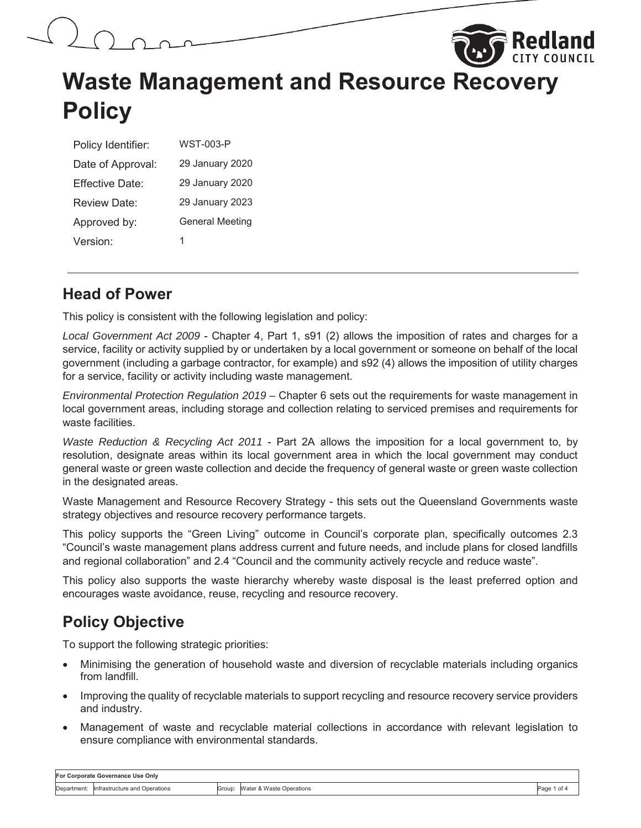



| Policy Identifier:  | <b>WST-003-P</b>       |
|---------------------|------------------------|
| Date of Approval:   | 29 January 2020        |
| Fffective Date:     | 29 January 2020        |
| <b>Review Date:</b> | 29 January 2023        |
| Approved by:        | <b>General Meeting</b> |
| Version:            | 1                      |

#### **Head of Power**

This policy is consistent with the following legislation and policy:

*Local Government Act 2009* - Chapter 4, Part 1, s91 (2) allows the imposition of rates and charges for a service, facility or activity supplied by or undertaken by a local government or someone on behalf of the local government (including a garbage contractor, for example) and s92 (4) allows the imposition of utility charges for a service, facility or activity including waste management.

*Environmental Protection Regulation 2019 –* Chapter 6 sets out the requirements for waste management in local government areas, including storage and collection relating to serviced premises and requirements for waste facilities.

*Waste Reduction & Recycling Act 2011* - Part 2A allows the imposition for a local government to, by resolution, designate areas within its local government area in which the local government may conduct general waste or green waste collection and decide the frequency of general waste or green waste collection in the designated areas.

Waste Management and Resource Recovery Strategy - this sets out the Queensland Governments waste strategy objectives and resource recovery performance targets.

This policy supports the "Green Living" outcome in Council's corporate plan, specifically outcomes 2.3 "Council's waste management plans address current and future needs, and include plans for closed landfills and regional collaboration" and 2.4 "Council and the community actively recycle and reduce waste".

This policy also supports the waste hierarchy whereby waste disposal is the least preferred option and encourages waste avoidance, reuse, recycling and resource recovery.

### **Policy Objective**

To support the following strategic priorities:

- x Minimising the generation of household waste and diversion of recyclable materials including organics from landfill.
- Improving the quality of recyclable materials to support recycling and resource recovery service providers and industry.
- x Management of waste and recyclable material collections in accordance with relevant legislation to ensure compliance with environmental standards.

| For Corporate Governance Use Only |                                            |  |                                 |           |
|-----------------------------------|--------------------------------------------|--|---------------------------------|-----------|
|                                   | Department: linfrastructure and Operations |  | Group: Water & Waste Operations | Page 1 of |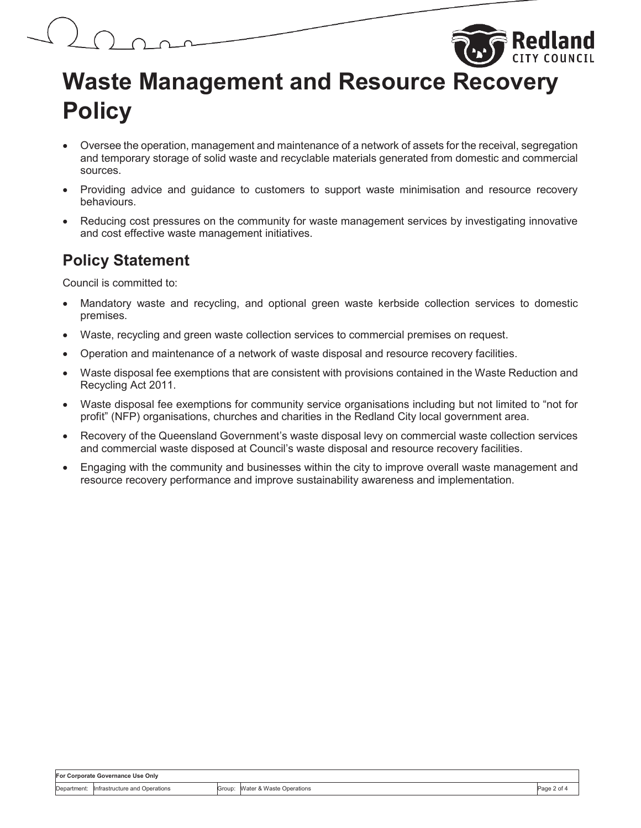

- Oversee the operation, management and maintenance of a network of assets for the receival, segregation and temporary storage of solid waste and recyclable materials generated from domestic and commercial sources.
- Providing advice and guidance to customers to support waste minimisation and resource recovery behaviours.
- Reducing cost pressures on the community for waste management services by investigating innovative and cost effective waste management initiatives.

#### **Policy Statement**

Council is committed to:

- Mandatory waste and recycling, and optional green waste kerbside collection services to domestic premises.
- Waste, recycling and green waste collection services to commercial premises on request.
- Operation and maintenance of a network of waste disposal and resource recovery facilities.
- Waste disposal fee exemptions that are consistent with provisions contained in the Waste Reduction and Recycling Act 2011.
- Waste disposal fee exemptions for community service organisations including but not limited to "not for profit" (NFP) organisations, churches and charities in the Redland City local government area.
- Recovery of the Queensland Government's waste disposal levy on commercial waste collection services and commercial waste disposed at Council's waste disposal and resource recovery facilities.
- Engaging with the community and businesses within the city to improve overall waste management and resource recovery performance and improve sustainability awareness and implementation.

| For Corporate Governance Use Only |                                           |  |                                 |                  |
|-----------------------------------|-------------------------------------------|--|---------------------------------|------------------|
|                                   | Department: Infrastructure and Operations |  | Group: Water & Waste Operations | Page 2 of $\sim$ |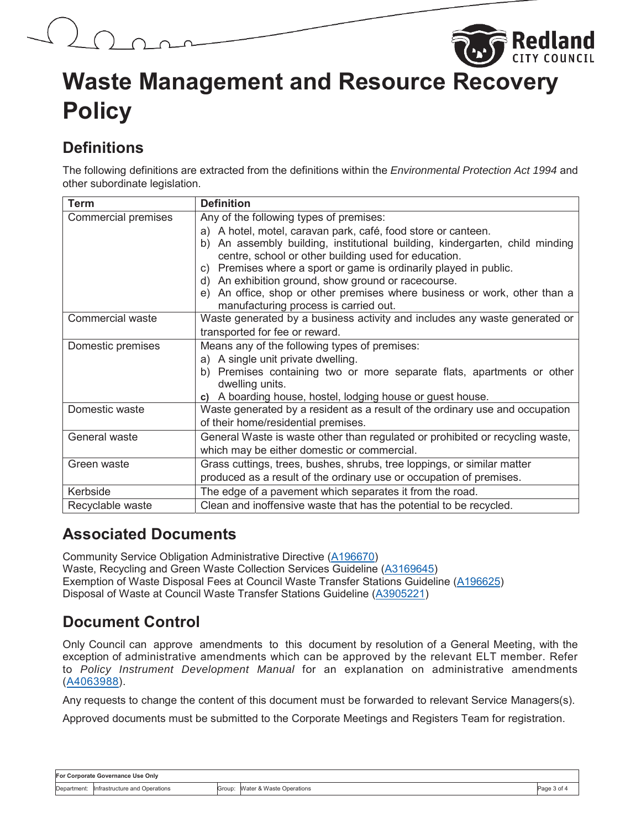

## **Definitions**

The following definitions are extracted from the definitions within the *Environmental Protection Act 1994* and other subordinate legislation.

| Term                       | <b>Definition</b>                                                               |
|----------------------------|---------------------------------------------------------------------------------|
| <b>Commercial premises</b> | Any of the following types of premises:                                         |
|                            | a) A hotel, motel, caravan park, café, food store or canteen.                   |
|                            | An assembly building, institutional building, kindergarten, child minding<br>b) |
|                            | centre, school or other building used for education.                            |
|                            | c) Premises where a sport or game is ordinarily played in public.               |
|                            | An exhibition ground, show ground or racecourse.<br>d)                          |
|                            | An office, shop or other premises where business or work, other than a<br>e)    |
|                            | manufacturing process is carried out.                                           |
| Commercial waste           | Waste generated by a business activity and includes any waste generated or      |
|                            | transported for fee or reward.                                                  |
| Domestic premises          | Means any of the following types of premises:                                   |
|                            | a) A single unit private dwelling.                                              |
|                            | b) Premises containing two or more separate flats, apartments or other          |
|                            | dwelling units.                                                                 |
|                            | A boarding house, hostel, lodging house or guest house.<br>C)                   |
| Domestic waste             | Waste generated by a resident as a result of the ordinary use and occupation    |
|                            | of their home/residential premises.                                             |
| General waste              | General Waste is waste other than regulated or prohibited or recycling waste,   |
|                            | which may be either domestic or commercial.                                     |
| Green waste                | Grass cuttings, trees, bushes, shrubs, tree loppings, or similar matter         |
|                            | produced as a result of the ordinary use or occupation of premises.             |
| Kerbside                   | The edge of a pavement which separates it from the road.                        |
| Recyclable waste           | Clean and inoffensive waste that has the potential to be recycled.              |

### **Associated Documents**

Community Service Obligation Administrative Directive (A196670) Waste, Recycling and Green Waste Collection Services Guideline (A3169645) Exemption of Waste Disposal Fees at Council Waste Transfer Stations Guideline (A196625) Disposal of Waste at Council Waste Transfer Stations Guideline (A3905221)

## **Document Control**

Only Council can approve amendments to this document by resolution of a General Meeting, with the exception of administrative amendments which can be approved by the relevant ELT member. Refer to *Policy Instrument Development Manual* for an explanation on administrative amendments (A4063988).

Any requests to change the content of this document must be forwarded to relevant Service Managers(s).

Approved documents must be submitted to the Corporate Meetings and Registers Team for registration.

| For Corporate Governance Use Only |                               |        |                          |           |
|-----------------------------------|-------------------------------|--------|--------------------------|-----------|
| Department:                       | Infrastructure and Operations | Group: | Water & Waste Operations | Page 3 of |